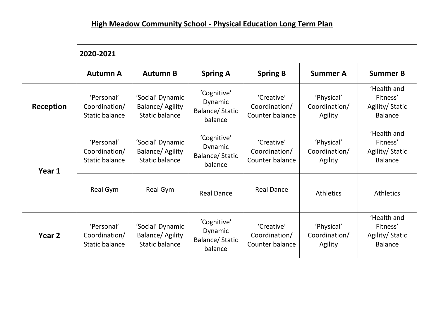## **High Meadow Community School - Physical Education Long Term Plan**

|                   | 2020-2021                                            |                                                                      |                                                            |                                                |                                        |                                                             |  |  |  |
|-------------------|------------------------------------------------------|----------------------------------------------------------------------|------------------------------------------------------------|------------------------------------------------|----------------------------------------|-------------------------------------------------------------|--|--|--|
|                   | <b>Autumn A</b>                                      | <b>Autumn B</b>                                                      | <b>Spring A</b>                                            | <b>Spring B</b>                                | <b>Summer A</b>                        | <b>Summer B</b>                                             |  |  |  |
| Reception         | 'Personal'<br>Coordination/<br><b>Static balance</b> | 'Social' Dynamic<br>Balance/ Agility<br><b>Static balance</b>        | 'Cognitive'<br>Dynamic<br><b>Balance/Static</b><br>balance | 'Creative'<br>Coordination/<br>Counter balance | 'Physical'<br>Coordination/<br>Agility | 'Health and<br>Fitness'<br>Agility/Static<br><b>Balance</b> |  |  |  |
| Year 1            | 'Personal'<br>Coordination/<br><b>Static balance</b> | 'Social' Dynamic<br><b>Balance/ Agility</b><br><b>Static balance</b> | 'Cognitive'<br>Dynamic<br><b>Balance/Static</b><br>balance | 'Creative'<br>Coordination/<br>Counter balance | 'Physical'<br>Coordination/<br>Agility | 'Health and<br>Fitness'<br>Agility/Static<br><b>Balance</b> |  |  |  |
|                   | Real Gym                                             | Real Gym                                                             | <b>Real Dance</b>                                          | <b>Real Dance</b>                              | <b>Athletics</b>                       | <b>Athletics</b>                                            |  |  |  |
| Year <sub>2</sub> | 'Personal'<br>Coordination/<br><b>Static balance</b> | 'Social' Dynamic<br>Balance/ Agility<br>Static balance               | 'Cognitive'<br>Dynamic<br><b>Balance/Static</b><br>balance | 'Creative'<br>Coordination/<br>Counter balance | 'Physical'<br>Coordination/<br>Agility | 'Health and<br>Fitness'<br>Agility/Static<br><b>Balance</b> |  |  |  |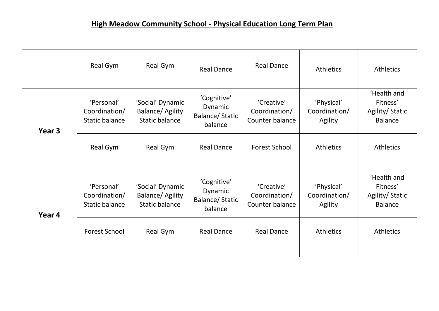|        | Real Gym                                             | Real Gym                                                      | <b>Real Dance</b>                                          | <b>Real Dance</b>                              | <b>Athletics</b>                       | <b>Athletics</b>                                            |
|--------|------------------------------------------------------|---------------------------------------------------------------|------------------------------------------------------------|------------------------------------------------|----------------------------------------|-------------------------------------------------------------|
| Year 3 | 'Personal'<br>Coordination/<br><b>Static balance</b> | 'Social' Dynamic<br>Balance/ Agility<br><b>Static balance</b> | 'Cognitive'<br>Dynamic<br><b>Balance/Static</b><br>balance | 'Creative'<br>Coordination/<br>Counter balance | 'Physical'<br>Coordination/<br>Agility | 'Health and<br>Fitness'<br>Agility/Static<br><b>Balance</b> |
|        | Real Gym                                             | Real Gym                                                      | <b>Real Dance</b>                                          | <b>Forest School</b>                           | <b>Athletics</b>                       | <b>Athletics</b>                                            |
| Year 4 | 'Personal'<br>Coordination/<br><b>Static balance</b> | 'Social' Dynamic<br>Balance/ Agility<br><b>Static balance</b> | 'Cognitive'<br>Dynamic<br><b>Balance/Static</b><br>balance | 'Creative'<br>Coordination/<br>Counter balance | 'Physical'<br>Coordination/<br>Agility | 'Health and<br>Fitness'<br>Agility/Static<br><b>Balance</b> |
|        | <b>Forest School</b>                                 | Real Gym                                                      | <b>Real Dance</b>                                          | <b>Real Dance</b>                              | <b>Athletics</b>                       | <b>Athletics</b>                                            |